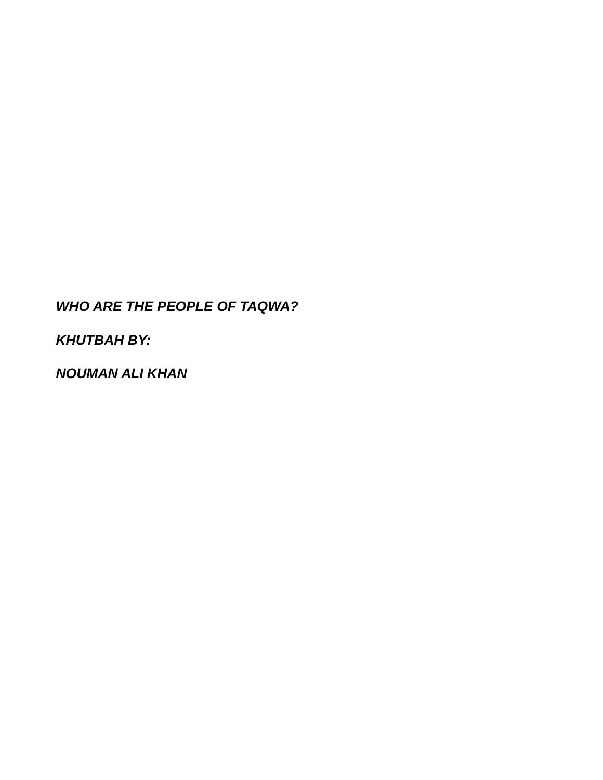## *WHO ARE THE PEOPLE OF TAQWA?*

*KHUTBAH BY:*

*NOUMAN ALI KHAN*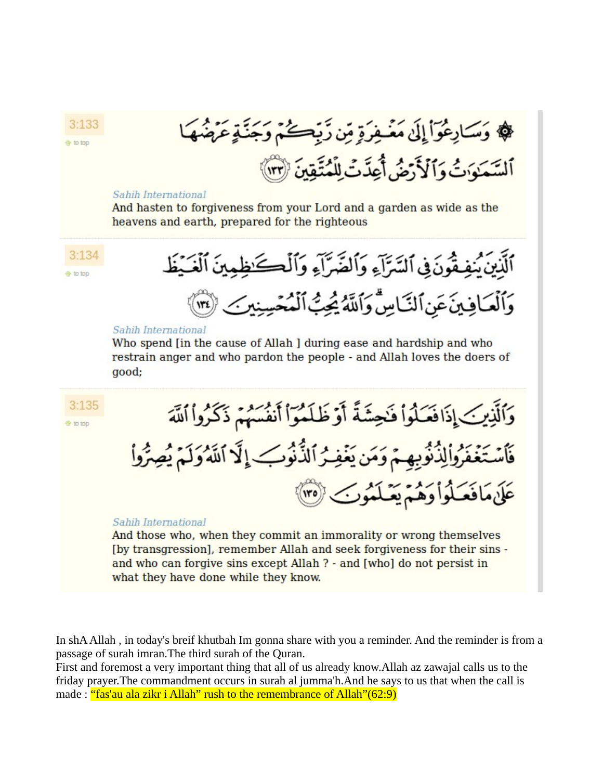﴾ وَسَارِعُوٓاْ إِلَىٰ مَعْسِفَرَةٍ مِّن زَبِّكُمْ وَجَنَّةٍ عَرَضَهَ ٱلسَّعَبَوَاتُ وَٱلۡذَّرۡ مَٰنُ أَعِدَّتۡ لِلۡمُتَّقِدَىٰٓ ۞ ۖ

## Sahih International

 $3:133$ 

**各** 10 10p

And hasten to forgiveness from your Lord and a garden as wide as the heavens and earth, prepared for the righteous



[by transgression], remember Allah and seek forgiveness for their sins and who can forgive sins except Allah ? - and [who] do not persist in what they have done while they know.

In shA Allah , in today's breif khutbah Im gonna share with you a reminder. And the reminder is from a passage of surah imran.The third surah of the Quran.

First and foremost a very important thing that all of us already know.Allah az zawajal calls us to the friday prayer.The commandment occurs in surah al jumma'h.And he says to us that when the call is made : "fas'au ala zikr i Allah" rush to the remembrance of Allah"(62:9)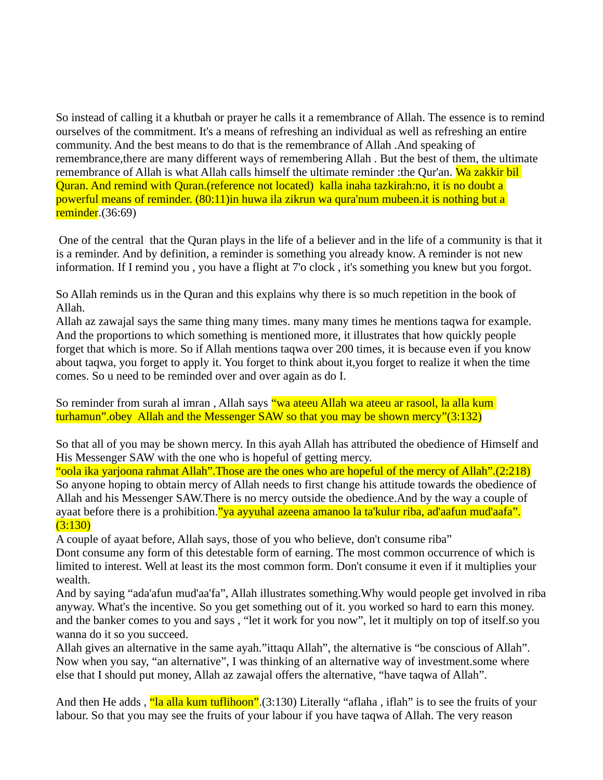So instead of calling it a khutbah or prayer he calls it a remembrance of Allah. The essence is to remind ourselves of the commitment. It's a means of refreshing an individual as well as refreshing an entire community. And the best means to do that is the remembrance of Allah .And speaking of remembrance,there are many different ways of remembering Allah . But the best of them, the ultimate remembrance of Allah is what Allah calls himself the ultimate reminder :the Qur'an. Wa zakkir bil Quran. And remind with Quran.(reference not located) kalla inaha tazkirah:no, it is no doubt a powerful means of reminder. (80:11)in huwa ila zikrun wa qura'num mubeen.it is nothing but a reminder.(36:69)

 One of the central that the Quran plays in the life of a believer and in the life of a community is that it is a reminder. And by definition, a reminder is something you already know. A reminder is not new information. If I remind you , you have a flight at 7'o clock , it's something you knew but you forgot.

So Allah reminds us in the Quran and this explains why there is so much repetition in the book of Allah.

Allah az zawajal says the same thing many times. many many times he mentions taqwa for example. And the proportions to which something is mentioned more, it illustrates that how quickly people forget that which is more. So if Allah mentions taqwa over 200 times, it is because even if you know about taqwa, you forget to apply it. You forget to think about it,you forget to realize it when the time comes. So u need to be reminded over and over again as do I.

So reminder from surah al imran , Allah says "wa ateeu Allah wa ateeu ar rasool, la alla kum turhamun".obey Allah and the Messenger SAW so that you may be shown mercy"(3:132)

So that all of you may be shown mercy. In this ayah Allah has attributed the obedience of Himself and His Messenger SAW with the one who is hopeful of getting mercy.

"oola ika yarjoona rahmat Allah".Those are the ones who are hopeful of the mercy of Allah".(2:218) So anyone hoping to obtain mercy of Allah needs to first change his attitude towards the obedience of Allah and his Messenger SAW.There is no mercy outside the obedience.And by the way a couple of ayaat before there is a prohibition. "ya ayyuhal azeena amanoo la ta'kulur riba, ad'aafun mud'aafa".  $(3:130)$ 

A couple of ayaat before, Allah says, those of you who believe, don't consume riba"

Dont consume any form of this detestable form of earning. The most common occurrence of which is limited to interest. Well at least its the most common form. Don't consume it even if it multiplies your wealth.

And by saying "ada'afun mud'aa'fa", Allah illustrates something.Why would people get involved in riba anyway. What's the incentive. So you get something out of it. you worked so hard to earn this money. and the banker comes to you and says , "let it work for you now", let it multiply on top of itself.so you wanna do it so you succeed.

Allah gives an alternative in the same ayah."ittaqu Allah", the alternative is "be conscious of Allah". Now when you say, "an alternative", I was thinking of an alternative way of investment.some where else that I should put money, Allah az zawajal offers the alternative, "have taqwa of Allah".

And then He adds, "la alla kum tuflihoon". (3:130) Literally "aflaha, iflah" is to see the fruits of your labour. So that you may see the fruits of your labour if you have taqwa of Allah. The very reason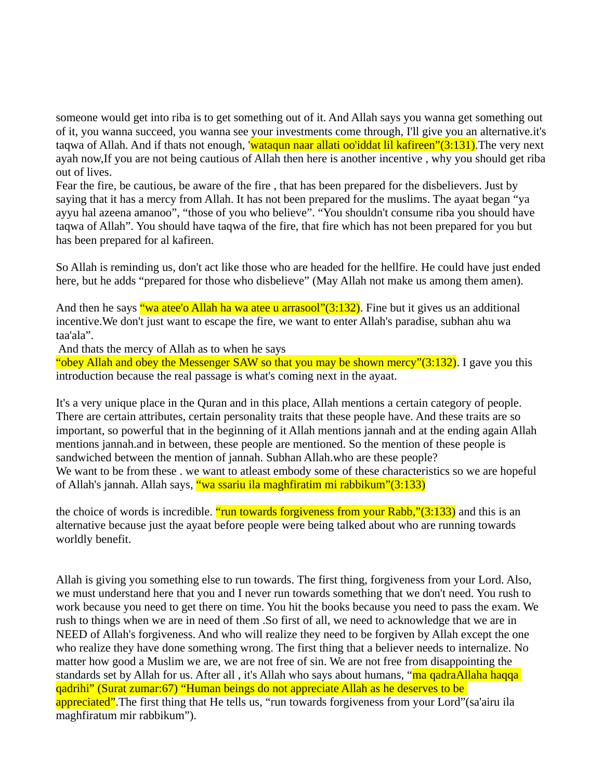someone would get into riba is to get something out of it. And Allah says you wanna get something out of it, you wanna succeed, you wanna see your investments come through, I'll give you an alternative.it's taqwa of Allah. And if thats not enough, 'wataqun naar allati oo'iddat lil kafireen"(3:131). The very next ayah now,If you are not being cautious of Allah then here is another incentive , why you should get riba out of lives.

Fear the fire, be cautious, be aware of the fire , that has been prepared for the disbelievers. Just by saying that it has a mercy from Allah. It has not been prepared for the muslims. The ayaat began "ya ayyu hal azeena amanoo", "those of you who believe". "You shouldn't consume riba you should have taqwa of Allah". You should have taqwa of the fire, that fire which has not been prepared for you but has been prepared for al kafireen.

So Allah is reminding us, don't act like those who are headed for the hellfire. He could have just ended here, but he adds "prepared for those who disbelieve" (May Allah not make us among them amen).

And then he says "wa atee'o Allah ha wa atee u arrasool"(3:132). Fine but it gives us an additional incentive.We don't just want to escape the fire, we want to enter Allah's paradise, subhan ahu wa taa'ala".

And thats the mercy of Allah as to when he says

"obey Allah and obey the Messenger SAW so that you may be shown mercy"(3:132). I gave you this introduction because the real passage is what's coming next in the ayaat.

It's a very unique place in the Quran and in this place, Allah mentions a certain category of people. There are certain attributes, certain personality traits that these people have. And these traits are so important, so powerful that in the beginning of it Allah mentions jannah and at the ending again Allah mentions jannah.and in between, these people are mentioned. So the mention of these people is sandwiched between the mention of jannah. Subhan Allah.who are these people? We want to be from these . we want to atleast embody some of these characteristics so we are hopeful of Allah's jannah. Allah says, "wa ssariu ila maghfiratim mi rabbikum"(3:133)

the choice of words is incredible. "run towards forgiveness from your Rabb,"(3:133) and this is an alternative because just the ayaat before people were being talked about who are running towards worldly benefit.

Allah is giving you something else to run towards. The first thing, forgiveness from your Lord. Also, we must understand here that you and I never run towards something that we don't need. You rush to work because you need to get there on time. You hit the books because you need to pass the exam. We rush to things when we are in need of them .So first of all, we need to acknowledge that we are in NEED of Allah's forgiveness. And who will realize they need to be forgiven by Allah except the one who realize they have done something wrong. The first thing that a believer needs to internalize. No matter how good a Muslim we are, we are not free of sin. We are not free from disappointing the standards set by Allah for us. After all, it's Allah who says about humans, "ma qadraAllaha haqqa qadrihi" (Surat zumar:67) "Human beings do not appreciate Allah as he deserves to be appreciated".The first thing that He tells us, "run towards forgiveness from your Lord"(sa'airu ila maghfiratum mir rabbikum").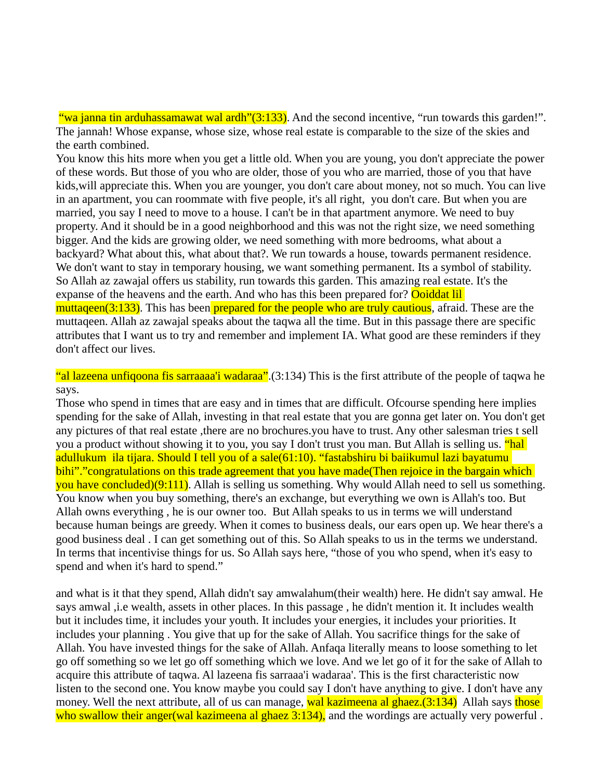"wa janna tin arduhassamawat wal ardh" $(3:133)$ . And the second incentive, "run towards this garden!". The jannah! Whose expanse, whose size, whose real estate is comparable to the size of the skies and the earth combined.

You know this hits more when you get a little old. When you are young, you don't appreciate the power of these words. But those of you who are older, those of you who are married, those of you that have kids,will appreciate this. When you are younger, you don't care about money, not so much. You can live in an apartment, you can roommate with five people, it's all right, you don't care. But when you are married, you say I need to move to a house. I can't be in that apartment anymore. We need to buy property. And it should be in a good neighborhood and this was not the right size, we need something bigger. And the kids are growing older, we need something with more bedrooms, what about a backyard? What about this, what about that?. We run towards a house, towards permanent residence. We don't want to stay in temporary housing, we want something permanent. Its a symbol of stability. So Allah az zawajal offers us stability, run towards this garden. This amazing real estate. It's the expanse of the heavens and the earth. And who has this been prepared for? Ooiddat lil muttageen(3:133). This has been prepared for the people who are truly cautious, afraid. These are the muttaqeen. Allah az zawajal speaks about the taqwa all the time. But in this passage there are specific attributes that I want us to try and remember and implement IA. What good are these reminders if they don't affect our lives.

"al lazeena unfiqoona fis sarraaaa'i wadaraa".(3:134) This is the first attribute of the people of taqwa he says.

Those who spend in times that are easy and in times that are difficult. Ofcourse spending here implies spending for the sake of Allah, investing in that real estate that you are gonna get later on. You don't get any pictures of that real estate ,there are no brochures.you have to trust. Any other salesman tries t sell you a product without showing it to you, you say I don't trust you man. But Allah is selling us. "hal adullukum ila tijara. Should I tell you of a sale(61:10). "fastabshiru bi baiikumul lazi bayatumu bihi"."congratulations on this trade agreement that you have made(Then rejoice in the bargain which you have concluded)(9:111). Allah is selling us something. Why would Allah need to sell us something. You know when you buy something, there's an exchange, but everything we own is Allah's too. But Allah owns everything , he is our owner too. But Allah speaks to us in terms we will understand because human beings are greedy. When it comes to business deals, our ears open up. We hear there's a good business deal . I can get something out of this. So Allah speaks to us in the terms we understand. In terms that incentivise things for us. So Allah says here, "those of you who spend, when it's easy to spend and when it's hard to spend."

and what is it that they spend, Allah didn't say amwalahum(their wealth) here. He didn't say amwal. He says amwal ,i.e wealth, assets in other places. In this passage , he didn't mention it. It includes wealth but it includes time, it includes your youth. It includes your energies, it includes your priorities. It includes your planning . You give that up for the sake of Allah. You sacrifice things for the sake of Allah. You have invested things for the sake of Allah. Anfaqa literally means to loose something to let go off something so we let go off something which we love. And we let go of it for the sake of Allah to acquire this attribute of taqwa. Al lazeena fis sarraaa'i wadaraa'. This is the first characteristic now listen to the second one. You know maybe you could say I don't have anything to give. I don't have any money. Well the next attribute, all of us can manage, wal kazimeena al ghaez.(3:134) Allah says those who swallow their anger(wal kazimeena al ghaez 3:134), and the wordings are actually very powerful.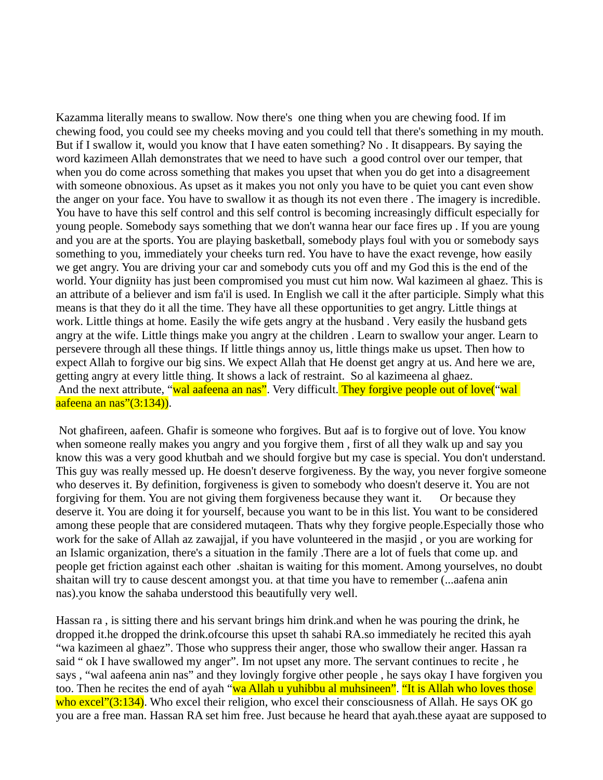Kazamma literally means to swallow. Now there's one thing when you are chewing food. If im chewing food, you could see my cheeks moving and you could tell that there's something in my mouth. But if I swallow it, would you know that I have eaten something? No . It disappears. By saying the word kazimeen Allah demonstrates that we need to have such a good control over our temper, that when you do come across something that makes you upset that when you do get into a disagreement with someone obnoxious. As upset as it makes you not only you have to be quiet you cant even show the anger on your face. You have to swallow it as though its not even there . The imagery is incredible. You have to have this self control and this self control is becoming increasingly difficult especially for young people. Somebody says something that we don't wanna hear our face fires up . If you are young and you are at the sports. You are playing basketball, somebody plays foul with you or somebody says something to you, immediately your cheeks turn red. You have to have the exact revenge, how easily we get angry. You are driving your car and somebody cuts you off and my God this is the end of the world. Your digniity has just been compromised you must cut him now. Wal kazimeen al ghaez. This is an attribute of a believer and ism fa'il is used. In English we call it the after participle. Simply what this means is that they do it all the time. They have all these opportunities to get angry. Little things at work. Little things at home. Easily the wife gets angry at the husband . Very easily the husband gets angry at the wife. Little things make you angry at the children . Learn to swallow your anger. Learn to persevere through all these things. If little things annoy us, little things make us upset. Then how to expect Allah to forgive our big sins. We expect Allah that He doenst get angry at us. And here we are, getting angry at every little thing. It shows a lack of restraint. So al kazimeena al ghaez. And the next attribute, "wal aafeena an nas". Very difficult. They forgive people out of love("wal aafeena an nas"(3:134)).

 Not ghafireen, aafeen. Ghafir is someone who forgives. But aaf is to forgive out of love. You know when someone really makes you angry and you forgive them , first of all they walk up and say you know this was a very good khutbah and we should forgive but my case is special. You don't understand. This guy was really messed up. He doesn't deserve forgiveness. By the way, you never forgive someone who deserves it. By definition, forgiveness is given to somebody who doesn't deserve it. You are not forgiving for them. You are not giving them forgiveness because they want it. Or because they deserve it. You are doing it for yourself, because you want to be in this list. You want to be considered among these people that are considered mutaqeen. Thats why they forgive people.Especially those who work for the sake of Allah az zawajjal, if you have volunteered in the masjid , or you are working for an Islamic organization, there's a situation in the family .There are a lot of fuels that come up. and people get friction against each other .shaitan is waiting for this moment. Among yourselves, no doubt shaitan will try to cause descent amongst you. at that time you have to remember (...aafena anin nas).you know the sahaba understood this beautifully very well.

Hassan ra , is sitting there and his servant brings him drink.and when he was pouring the drink, he dropped it.he dropped the drink.ofcourse this upset th sahabi RA.so immediately he recited this ayah "wa kazimeen al ghaez". Those who suppress their anger, those who swallow their anger. Hassan ra said " ok I have swallowed my anger". Im not upset any more. The servant continues to recite , he says , "wal aafeena anin nas" and they lovingly forgive other people , he says okay I have forgiven you too. Then he recites the end of ayah "<mark>wa Allah u yuhibbu al muhsineen". "It is Allah who loves those</mark> who excel"(3:134). Who excel their religion, who excel their consciousness of Allah. He says OK go you are a free man. Hassan RA set him free. Just because he heard that ayah.these ayaat are supposed to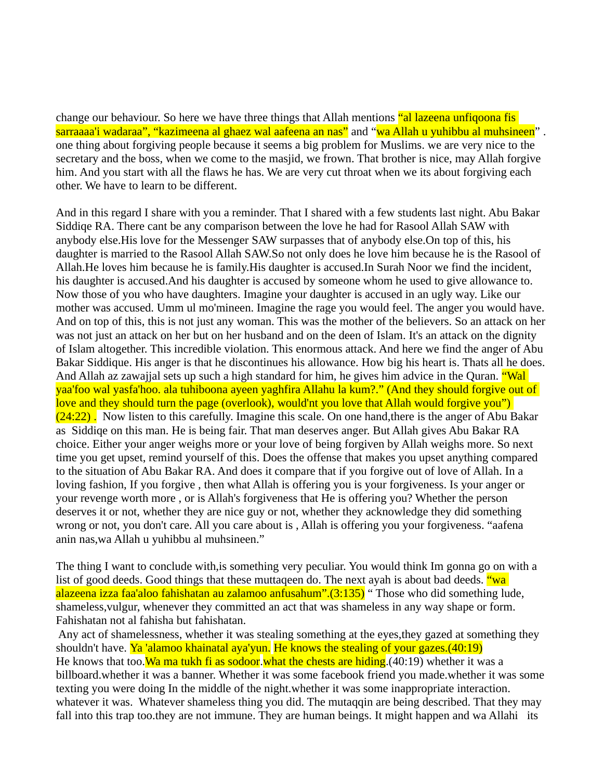change our behaviour. So here we have three things that Allah mentions "al lazeena unfiqoona fis sarraaaa'i wadaraa", "kazimeena al ghaez wal aafeena an nas" and "wa Allah u yuhibbu al muhsineen" . one thing about forgiving people because it seems a big problem for Muslims. we are very nice to the secretary and the boss, when we come to the masjid, we frown. That brother is nice, may Allah forgive him. And you start with all the flaws he has. We are very cut throat when we its about forgiving each other. We have to learn to be different.

And in this regard I share with you a reminder. That I shared with a few students last night. Abu Bakar Siddiqe RA. There cant be any comparison between the love he had for Rasool Allah SAW with anybody else.His love for the Messenger SAW surpasses that of anybody else.On top of this, his daughter is married to the Rasool Allah SAW.So not only does he love him because he is the Rasool of Allah.He loves him because he is family.His daughter is accused.In Surah Noor we find the incident, his daughter is accused.And his daughter is accused by someone whom he used to give allowance to. Now those of you who have daughters. Imagine your daughter is accused in an ugly way. Like our mother was accused. Umm ul mo'mineen. Imagine the rage you would feel. The anger you would have. And on top of this, this is not just any woman. This was the mother of the believers. So an attack on her was not just an attack on her but on her husband and on the deen of Islam. It's an attack on the dignity of Islam altogether. This incredible violation. This enormous attack. And here we find the anger of Abu Bakar Siddique. His anger is that he discontinues his allowance. How big his heart is. Thats all he does. And Allah az zawajjal sets up such a high standard for him, he gives him advice in the Quran. **"Wal** yaa'foo wal yasfa'hoo. ala tuhiboona ayeen yaghfira Allahu la kum?." (And they should forgive out of love and they should turn the page (overlook), would'nt you love that Allah would forgive you")  $(24:22)$ . Now listen to this carefully. Imagine this scale. On one hand, there is the anger of Abu Bakar as Siddiqe on this man. He is being fair. That man deserves anger. But Allah gives Abu Bakar RA choice. Either your anger weighs more or your love of being forgiven by Allah weighs more. So next time you get upset, remind yourself of this. Does the offense that makes you upset anything compared to the situation of Abu Bakar RA. And does it compare that if you forgive out of love of Allah. In a loving fashion, If you forgive , then what Allah is offering you is your forgiveness. Is your anger or your revenge worth more , or is Allah's forgiveness that He is offering you? Whether the person deserves it or not, whether they are nice guy or not, whether they acknowledge they did something wrong or not, you don't care. All you care about is , Allah is offering you your forgiveness. "aafena anin nas,wa Allah u yuhibbu al muhsineen."

The thing I want to conclude with,is something very peculiar. You would think Im gonna go on with a list of good deeds. Good things that these muttaqeen do. The next ayah is about bad deeds. "wa alazeena izza faa'aloo fahishatan au zalamoo anfusahum".(3:135) " Those who did something lude, shameless,vulgur, whenever they committed an act that was shameless in any way shape or form. Fahishatan not al fahisha but fahishatan.

 Any act of shamelessness, whether it was stealing something at the eyes,they gazed at something they shouldn't have. Ya 'alamoo khainatal aya'yun. He knows the stealing of your gazes.(40:19) He knows that too. Wa ma tukh fi as sodoor, what the chests are hiding. (40:19) whether it was a billboard.whether it was a banner. Whether it was some facebook friend you made.whether it was some texting you were doing In the middle of the night.whether it was some inappropriate interaction. whatever it was. Whatever shameless thing you did. The mutaqqin are being described. That they may fall into this trap too, they are not immune. They are human beings. It might happen and wa Allahi its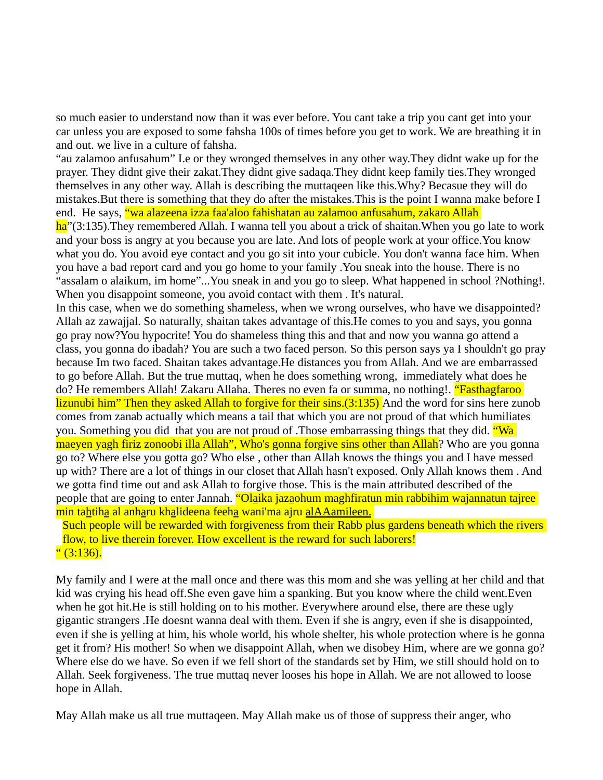so much easier to understand now than it was ever before. You cant take a trip you cant get into your car unless you are exposed to some fahsha 100s of times before you get to work. We are breathing it in and out. we live in a culture of fahsha.

"au zalamoo anfusahum" I.e or they wronged themselves in any other way.They didnt wake up for the prayer. They didnt give their zakat.They didnt give sadaqa.They didnt keep family ties.They wronged themselves in any other way. Allah is describing the muttaqeen like this.Why? Becasue they will do mistakes.But there is something that they do after the mistakes.This is the point I wanna make before I end. He says, "wa alazeena izza faa'aloo fahishatan au zalamoo anfusahum, zakaro Allah

ha"(3:135). They remembered Allah. I wanna tell you about a trick of shaitan. When you go late to work and your boss is angry at you because you are late. And lots of people work at your office.You know what you do. You avoid eye contact and you go sit into your cubicle. You don't wanna face him. When you have a bad report card and you go home to your family .You sneak into the house. There is no "assalam o alaikum, im home"...You sneak in and you go to sleep. What happened in school ?Nothing!. When you disappoint someone, you avoid contact with them . It's natural.

In this case, when we do something shameless, when we wrong ourselves, who have we disappointed? Allah az zawajjal. So naturally, shaitan takes advantage of this.He comes to you and says, you gonna go pray now?You hypocrite! You do shameless thing this and that and now you wanna go attend a class, you gonna do ibadah? You are such a two faced person. So this person says ya I shouldn't go pray because Im two faced. Shaitan takes advantage.He distances you from Allah. And we are embarrassed to go before Allah. But the true muttaq, when he does something wrong, immediately what does he do? He remembers Allah! Zakaru Allaha. Theres no even fa or summa, no nothing!. "Fasthagfaroo lizunubi him" Then they asked Allah to forgive for their sins.(3:135) And the word for sins here zunob comes from zanab actually which means a tail that which you are not proud of that which humiliates you. Something you did that you are not proud of . Those embarrassing things that they did. "Wa maeyen yagh firiz zonoobi illa Allah", Who's gonna forgive sins other than Allah? Who are you gonna go to? Where else you gotta go? Who else , other than Allah knows the things you and I have messed up with? There are a lot of things in our closet that Allah hasn't exposed. Only Allah knows them . And we gotta find time out and ask Allah to forgive those. This is the main attributed described of the people that are going to enter Jannah. <mark>"Olaika jazaohum maghfiratun min rabbihim wajannatun tajree</mark> min tahtiha al anharu khalideena feeha wani'ma ajru alAAamileen.

Such people will be rewarded with forgiveness from their Rabb plus gardens beneath which the rivers flow, to live therein forever. How excellent is the reward for such laborers!  $(3:136)$ .

My family and I were at the mall once and there was this mom and she was yelling at her child and that kid was crying his head off.She even gave him a spanking. But you know where the child went.Even when he got hit.He is still holding on to his mother. Everywhere around else, there are these ugly gigantic strangers .He doesnt wanna deal with them. Even if she is angry, even if she is disappointed, even if she is yelling at him, his whole world, his whole shelter, his whole protection where is he gonna get it from? His mother! So when we disappoint Allah, when we disobey Him, where are we gonna go? Where else do we have. So even if we fell short of the standards set by Him, we still should hold on to Allah. Seek forgiveness. The true muttaq never looses his hope in Allah. We are not allowed to loose hope in Allah.

May Allah make us all true muttaqeen. May Allah make us of those of suppress their anger, who